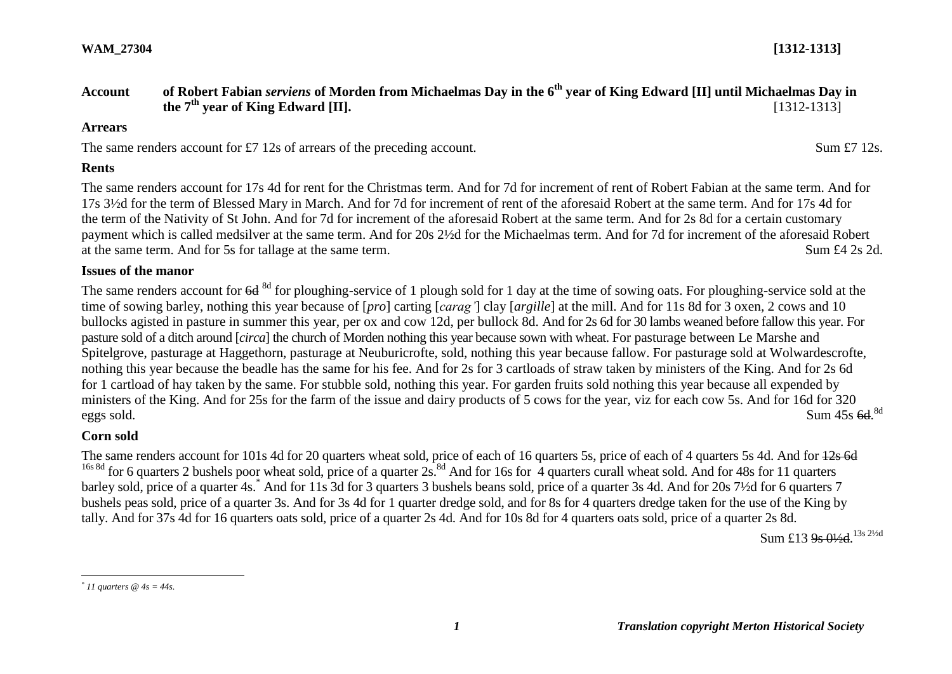## **WAM\_27304 [1312-1313]**

# **Account of Robert Fabian** *serviens* **of Morden from Michaelmas Day in the 6th year of King Edward [II] until Michaelmas Day in the**  $7<sup>th</sup>$  **vear of King Edward [II].** [1312-1313]

## **Arrears**

The same renders account for £7 12s of arrears of the preceding account. Sum £7 12s.

# **Rents**

The same renders account for 17s 4d for rent for the Christmas term. And for 7d for increment of rent of Robert Fabian at the same term. And for 17s 3½d for the term of Blessed Mary in March. And for 7d for increment of rent of the aforesaid Robert at the same term. And for 17s 4d for the term of the Nativity of St John. And for 7d for increment of the aforesaid Robert at the same term. And for 2s 8d for a certain customary payment which is called medsilver at the same term. And for 20s 2½d for the Michaelmas term. And for 7d for increment of the aforesaid Robert at the same term. And for 5s for tallage at the same term. Sum £4 2s 2d.

## **Issues of the manor**

The same renders account for  $6d^{8d}$  for ploughing-service of 1 plough sold for 1 day at the time of sowing oats. For ploughing-service sold at the time of sowing barley, nothing this year because of [*pro*] carting [*carag'*] clay [*argille*] at the mill. And for 11s 8d for 3 oxen, 2 cows and 10 bullocks agisted in pasture in summer this year, per ox and cow 12d, per bullock 8d. And for 2s 6d for 30 lambs weaned before fallow this year. For pasture sold of a ditch around [*circa*] the church of Morden nothing this year because sown with wheat. For pasturage between Le Marshe and Spitelgrove, pasturage at Haggethorn, pasturage at Neuburicrofte, sold, nothing this year because fallow. For pasturage sold at Wolwardescrofte, nothing this year because the beadle has the same for his fee. And for 2s for 3 cartloads of straw taken by ministers of the King. And for 2s 6d for 1 cartload of hay taken by the same. For stubble sold, nothing this year. For garden fruits sold nothing this year because all expended by ministers of the King. And for 25s for the farm of the issue and dairy products of 5 cows for the year, viz for each cow 5s. And for 16d for 320 eggs sold. Sum 45s 6<del>d</del>. Sum 45s 6d 8d

### **Corn sold**

The same renders account for 101s 4d for 20 quarters wheat sold, price of each of 16 quarters 5s, price of each of 4 quarters 5s 4d. And for  $\frac{12}{5}$  6d <sup>16s 8d</sup> for 6 quarters 2 bushels poor wheat sold, price of a quarter  $2s$ .<sup>8d</sup> And for 16s for  $\frac{1}{4}$  quarters curall wheat sold. And for 48s for 11 quarters barley sold, price of a quarter 4s.\* And for 11s 3d for 3 quarters 3 bushels beans sold, price of a quarter 3s 4d. And for 20s 7½d for 6 quarters 7 bushels peas sold, price of a quarter 3s. And for 3s 4d for 1 quarter dredge sold, and for 8s for 4 quarters dredge taken for the use of the King by tally. And for 37s 4d for 16 quarters oats sold, price of a quarter 2s 4d. And for 10s 8d for 4 quarters oats sold, price of a quarter 2s 8d.

Sum £13 <del>9s 0½d</del>.<sup>13s 2½d</sup>

*<sup>\*</sup> 11 quarters @ 4s = 44s.*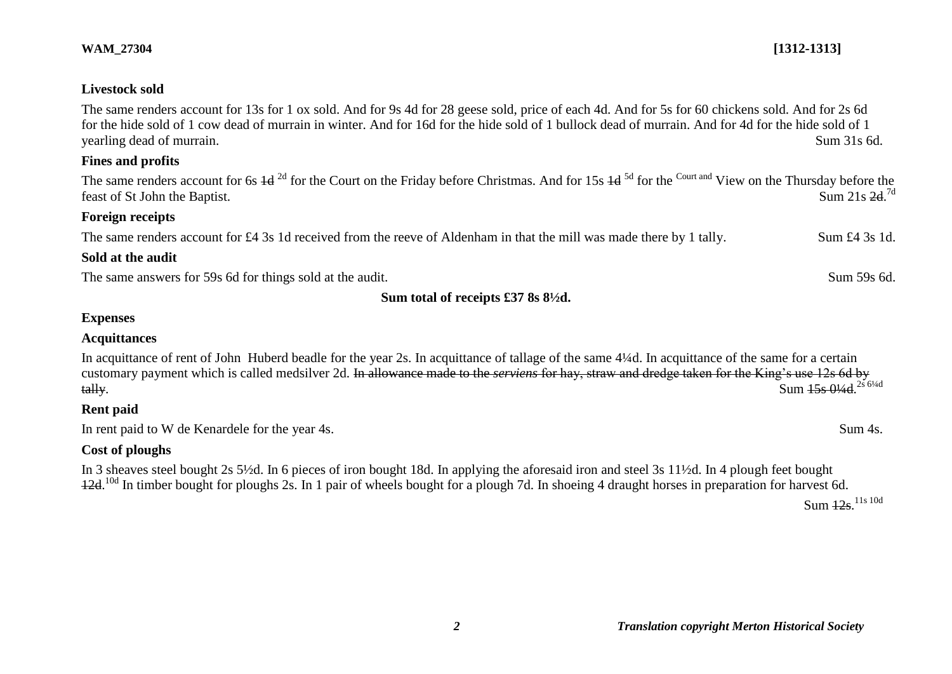## **Livestock sold**

The same renders account for 13s for 1 ox sold. And for 9s 4d for 28 geese sold, price of each 4d. And for 5s for 60 chickens sold. And for 2s 6d for the hide sold of 1 cow dead of murrain in winter. And for 16d for the hide sold of 1 bullock dead of murrain. And for 4d for the hide sold of 1 yearling dead of murrain. Sum 31s 6d.

#### **Fines and profits**

The same renders account for 6s  $\frac{1}{4}$  and the Court on the Friday before Christmas. And for 15s  $\frac{1}{4}$  for the Court and View on the Thursday before the feast of St John the Baptist. Sum  $21s$   $2d$ <sup>7d</sup>

#### **Foreign receipts**

The same renders account for £4 3s 1d received from the reeve of Aldenham in that the mill was made there by 1 tally. Sum £4 3s 1d.

#### **Sold at the audit**

The same answers for 59s 6d for things sold at the audit. Sum 59s 6d.

#### **Sum total of receipts £37 8s 8½d.**

## **Expenses**

#### **Acquittances**

In acquittance of rent of John Huberd beadle for the year 2s. In acquittance of tallage of the same 4¼d. In acquittance of the same for a certain customary payment which is called medsilver 2d. In allowance made to the *serviens* for hay, straw and dredge taken for the King's use 12s 6d by  $tally.$  Sum  $15s \frac{0}{4}d$ .<sup>2s 6<sup>1/4d</sup>.</sup>

## **Rent paid**

In rent paid to W de Kenardele for the year 4s. Sum 4s.

### **Cost of ploughs**

In 3 sheaves steel bought 2s 5½d. In 6 pieces of iron bought 18d. In applying the aforesaid iron and steel 3s 11½d. In 4 plough feet bought 12d.<sup>10d</sup> In timber bought for ploughs 2s. In 1 pair of wheels bought for a plough 7d. In shoeing 4 draught horses in preparation for harvest 6d.

 $Sum$   $\frac{12s}{11s}$   $10d$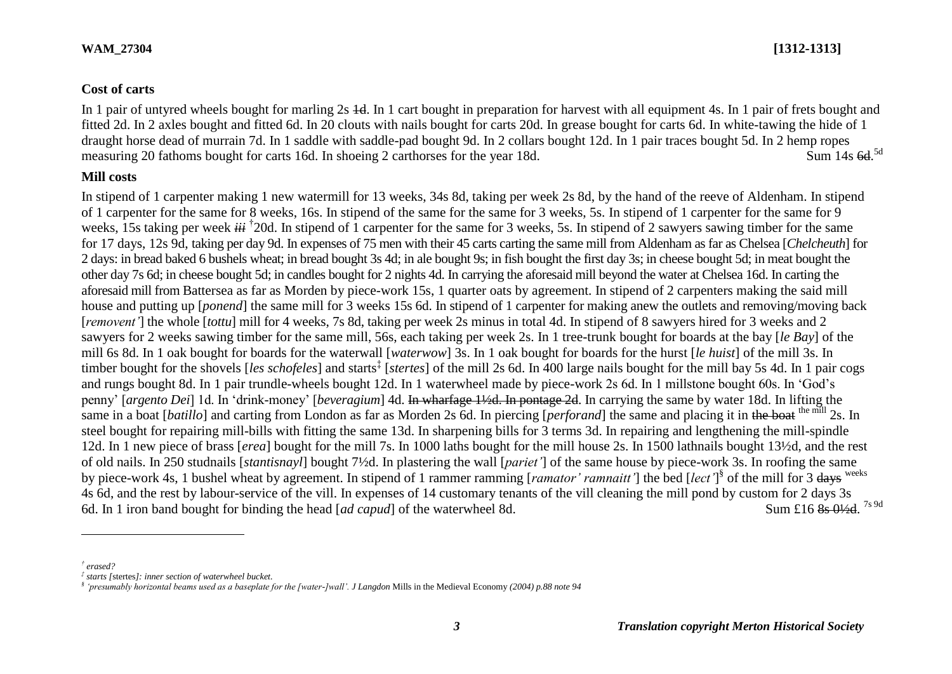# **WAM\_27304 [1312-1313]**

#### **Cost of carts**

In 1 pair of untyred wheels bought for marling 2s  $\frac{1}{4}$ . In 1 cart bought in preparation for harvest with all equipment 4s. In 1 pair of frets bought and fitted 2d. In 2 axles bought and fitted 6d. In 20 clouts with nails bought for carts 20d. In grease bought for carts 6d. In white-tawing the hide of 1 draught horse dead of murrain 7d. In 1 saddle with saddle-pad bought 9d. In 2 collars bought 12d. In 1 pair traces bought 5d. In 2 hemp ropes measuring 20 fathoms bought for carts 16d. In shoeing 2 carthorses for the year 18d. Sum  $14s$  6d  $5d$ 

#### **Mill costs**

In stipend of 1 carpenter making 1 new watermill for 13 weeks, 34s 8d, taking per week 2s 8d, by the hand of the reeve of Aldenham. In stipend of 1 carpenter for the same for 8 weeks, 16s. In stipend of the same for the same for 3 weeks, 5s. In stipend of 1 carpenter for the same for 9 weeks, 15s taking per week  $\ddot{u}$  <sup>†</sup> 20d. In stipend of 1 carpenter for the same for 3 weeks, 5s. In stipend of 2 sawyers sawing timber for the same for 17 days, 12s 9d, taking per day 9d. In expenses of 75 men with their 45 carts carting the same mill from Aldenham as far as Chelsea [*Chelcheuth*] for 2 days: in bread baked 6 bushels wheat; in bread bought 3s 4d; in ale bought 9s; in fish bought the first day 3s; in cheese bought 5d; in meat bought the other day 7s 6d; in cheese bought 5d; in candles bought for 2 nights 4d. In carrying the aforesaid mill beyond the water at Chelsea 16d. In carting the aforesaid mill from Battersea as far as Morden by piece-work 15s, 1 quarter oats by agreement. In stipend of 2 carpenters making the said mill house and putting up [*ponend*] the same mill for 3 weeks 15s 6d. In stipend of 1 carpenter for making anew the outlets and removing/moving back [*removent'*] the whole [*tottu*] mill for 4 weeks, 7s 8d, taking per week 2s minus in total 4d. In stipend of 8 sawyers hired for 3 weeks and 2 sawyers for 2 weeks sawing timber for the same mill, 56s, each taking per week 2s. In 1 tree-trunk bought for boards at the bay [*le Bay*] of the mill 6s 8d. In 1 oak bought for boards for the waterwall [*waterwow*] 3s. In 1 oak bought for boards for the hurst [*le huist*] of the mill 3s. In timber bought for the shovels [les schofeles] and starts<sup>‡</sup> [stertes] of the mill 2s 6d. In 400 large nails bought for the mill bay 5s 4d. In 1 pair cogs and rungs bought 8d. In 1 pair trundle-wheels bought 12d. In 1 waterwheel made by piece-work 2s 6d. In 1 millstone bought 60s. In 'God's penny' [*argento Dei*] 1d. In 'drink-money' [*beveragium*] 4d. In wharfage 1½d. In pontage 2d. In carrying the same by water 18d. In lifting the same in a boat [*batillo*] and carting from London as far as Morden 2s 6d. In piercing [*perforand*] the same and placing it in the boat <sup>the mill</sup> 2s. In steel bought for repairing mill-bills with fitting the same 13d. In sharpening bills for 3 terms 3d. In repairing and lengthening the mill-spindle 12d. In 1 new piece of brass [*erea*] bought for the mill 7s. In 1000 laths bought for the mill house 2s. In 1500 lathnails bought 13½d, and the rest of old nails. In 250 studnails [*stantisnayl*] bought 7½d. In plastering the wall [*pariet'*] of the same house by piece-work 3s. In roofing the same by piece-work 4s, 1 bushel wheat by agreement. In stipend of 1 rammer ramming [*ramator' ramnaitt'*] the bed [*lect'*]<sup>§</sup> of the mill for 3 <del>days</del> <sup>weeks</sup> 4s 6d, and the rest by labour-service of the vill. In expenses of 14 customary tenants of the vill cleaning the mill pond by custom for 2 days 3s 6d. In 1 iron band bought for binding the head [*ad capud*] of the waterwheel 8d. Sum £16  $8s$   $0\frac{1}{2}$ d <sup>7s 9d</sup>

*<sup>†</sup> erased?*

*<sup>‡</sup> starts [*stertes*]: inner section of waterwheel bucket.*

*<sup>§</sup> 'presumably horizontal beams used as a baseplate for the [water-]wall'. J Langdon* Mills in the Medieval Economy *(2004) p.88 note 94*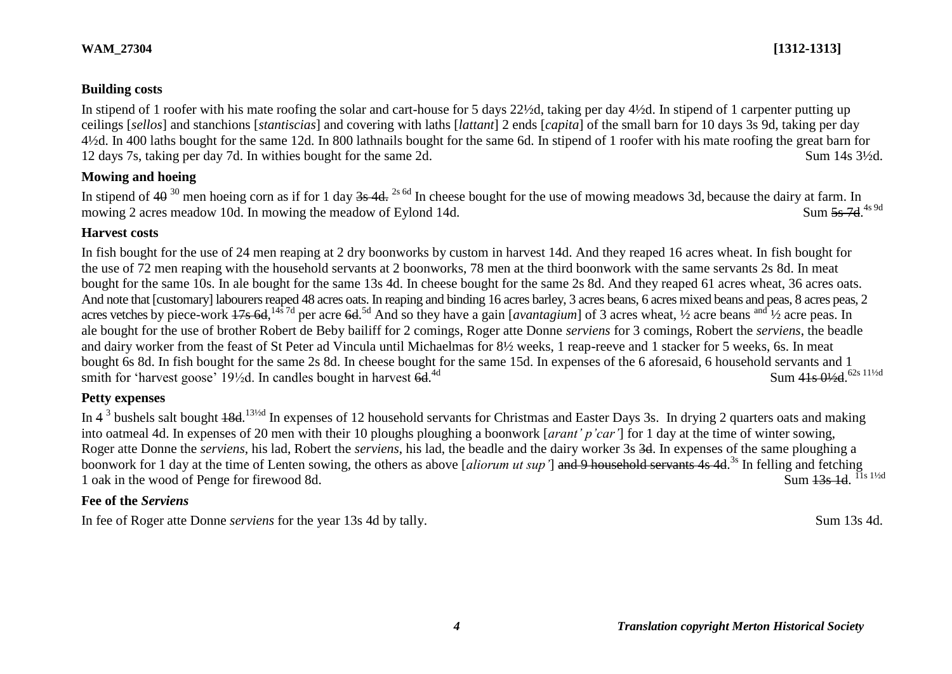### **WAM\_27304 [1312-1313]**

#### **Building costs**

In stipend of 1 roofer with his mate roofing the solar and cart-house for 5 days 22½d, taking per day 4½d. In stipend of 1 carpenter putting up ceilings [*sellos*] and stanchions [*stantiscias*] and covering with laths [*lattant*] 2 ends [*capita*] of the small barn for 10 days 3s 9d, taking per day 4½d. In 400 laths bought for the same 12d. In 800 lathnails bought for the same 6d. In stipend of 1 roofer with his mate roofing the great barn for

12 days 7s, taking per day 7d. In withies bought for the same 2d. Sum 14s 3½d.

## **Mowing and hoeing**

In stipend of 40<sup>30</sup> men hoeing corn as if for 1 day 3s 4d. <sup>2s 6d</sup> In cheese bought for the use of mowing meadows 3d, because the dairy at farm. In mowing 2 acres meadow 10d. In mowing the meadow of Eylond 14d. Sum  $\frac{5s}{9}$  7d  $^{4s}$  9d

### **Harvest costs**

In fish bought for the use of 24 men reaping at 2 dry boonworks by custom in harvest 14d. And they reaped 16 acres wheat. In fish bought for the use of 72 men reaping with the household servants at 2 boonworks, 78 men at the third boonwork with the same servants 2s 8d. In meat bought for the same 10s. In ale bought for the same 13s 4d. In cheese bought for the same 2s 8d. And they reaped 61 acres wheat, 36 acres oats. And note that [customary] labourers reaped 48 acres oats. In reaping and binding 16 acres barley, 3 acres beans, 6 acres mixed beans and peas, 8 acres peas, 2 acres vetches by piece-work 17s 6d, <sup>14s 7d</sup> per acre 6d.<sup>5d</sup> And so they have a gain [*avantagium*] of 3 acres wheat, ½ acre beans <sup>and 1</sup>½ acre peas. In ale bought for the use of brother Robert de Beby bailiff for 2 comings, Roger atte Donne *serviens* for 3 comings, Robert the *serviens*, the beadle and dairy worker from the feast of St Peter ad Vincula until Michaelmas for 8½ weeks, 1 reap-reeve and 1 stacker for 5 weeks, 6s. In meat bought 6s 8d. In fish bought for the same 2s 8d. In cheese bought for the same 15d. In expenses of the 6 aforesaid, 6 household servants and 1 smith for 'harvest goose'  $19\frac{1}{2}d$ . In candles bought in harvest 6d.<sup>4d</sup>  $\frac{41}{3}$  Sum  $\frac{41}{3}$   $\frac{0\frac{1}{2}d}{3}$ .

## **Petty expenses**

In 4<sup>3</sup> bushels salt bought 18d.<sup>13½d</sup> In expenses of 12 household servants for Christmas and Easter Days 3s. In drying 2 quarters oats and making into oatmeal 4d. In expenses of 20 men with their 10 ploughs ploughing a boonwork [*arant' p'car'*] for 1 day at the time of winter sowing, Roger atte Donne the *serviens*, his lad, Robert the *serviens*, his lad, the beadle and the dairy worker 3s 3d. In expenses of the same ploughing a boonwork for 1 day at the time of Lenten sowing, the others as above [*aliorum ut sup'*] and 9 household servants 4s 4d. 3s In felling and fetching 1 oak in the wood of Penge for firewood 8d. Sum 13s 1d 11s 11/2d

### **Fee of the** *Serviens*

In fee of Roger atte Donne *serviens* for the year 13s 4d by tally. Sum 13s 4d.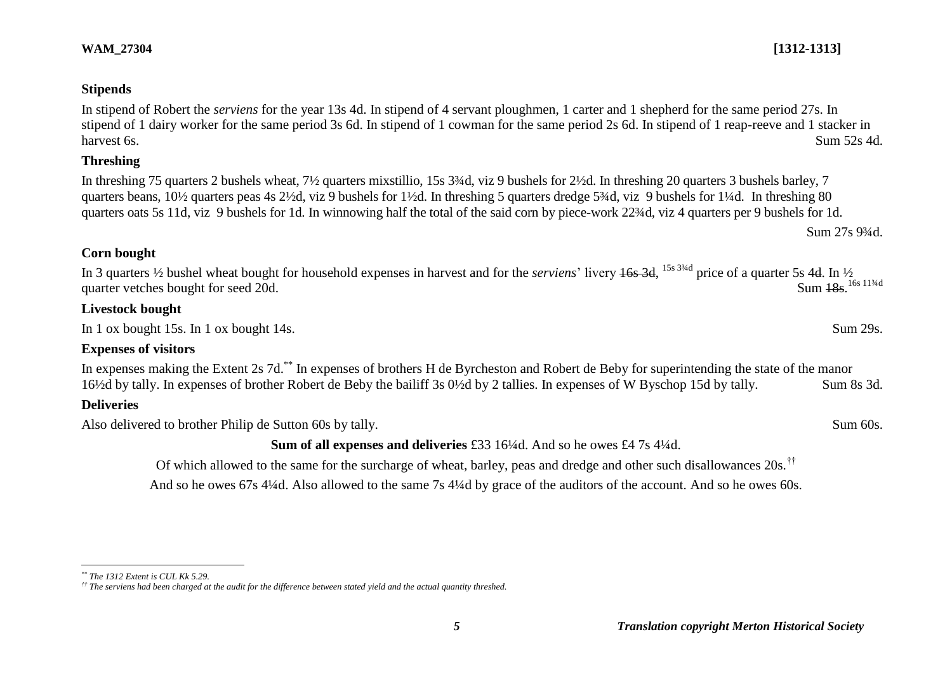## **Stipends**

In stipend of Robert the *serviens* for the year 13s 4d. In stipend of 4 servant ploughmen, 1 carter and 1 shepherd for the same period 27s. In stipend of 1 dairy worker for the same period 3s 6d. In stipend of 1 cowman for the same period 2s 6d. In stipend of 1 reap-reeve and 1 stacker in harvest 6s. Sum 52s 4d.

# **Threshing**

In threshing 75 quarters 2 bushels wheat, 7½ quarters mixstillio, 15s 3¾d, viz 9 bushels for 2½d. In threshing 20 quarters 3 bushels barley, 7 quarters beans, 10½ quarters peas 4s 2½d, viz 9 bushels for 1½d. In threshing 5 quarters dredge 5¾d, viz 9 bushels for 1¼d. In threshing 80 quarters oats 5s 11d, viz 9 bushels for 1d. In winnowing half the total of the said corn by piece-work 22¾d, viz 4 quarters per 9 bushels for 1d.

## **Corn bought**

In 3 quarters ½ bushel wheat bought for household expenses in harvest and for the *serviens*' livery <del>16s 3d</del>, <sup>15s 3¼d</sup> price of a quarter 5s 4d. In ½ quarter vetches bought for seed 20d. Sum  $18s$ . <sup>16s 1134d</sup>

# **Livestock bought**

In 1 ox bought 15s. In 1 ox bought 14s. Sum 29s.

# **Expenses of visitors**

In expenses making the Extent 2s 7d.<sup>\*\*</sup> In expenses of brothers H de Byrcheston and Robert de Beby for superintending the state of the manor 16½d by tally. In expenses of brother Robert de Beby the bailiff 3s 0½d by 2 tallies. In expenses of W Byschop 15d by tally. Sum 8s 3d.

# **Deliveries**

Also delivered to brother Philip de Sutton 60s by tally. Sum 60s. Sum 60s.

**Sum of all expenses and deliveries** £33 16<sup>1</sup>/<sub>4</sub>d. And so he owes £4 7s 4<sup>1</sup>/<sub>4</sub>d.

Of which allowed to the same for the surcharge of wheat, barley, peas and dredge and other such disallowances 20s.<sup>††</sup>

And so he owes 67s 4¼d. Also allowed to the same 7s 4¼d by grace of the auditors of the account. And so he owes 60s.

Sum 27s 9¾d.

 $\overline{a}$ *\*\* The 1312 Extent is CUL Kk 5.29.*

*<sup>††</sup> The serviens had been charged at the audit for the difference between stated yield and the actual quantity threshed.*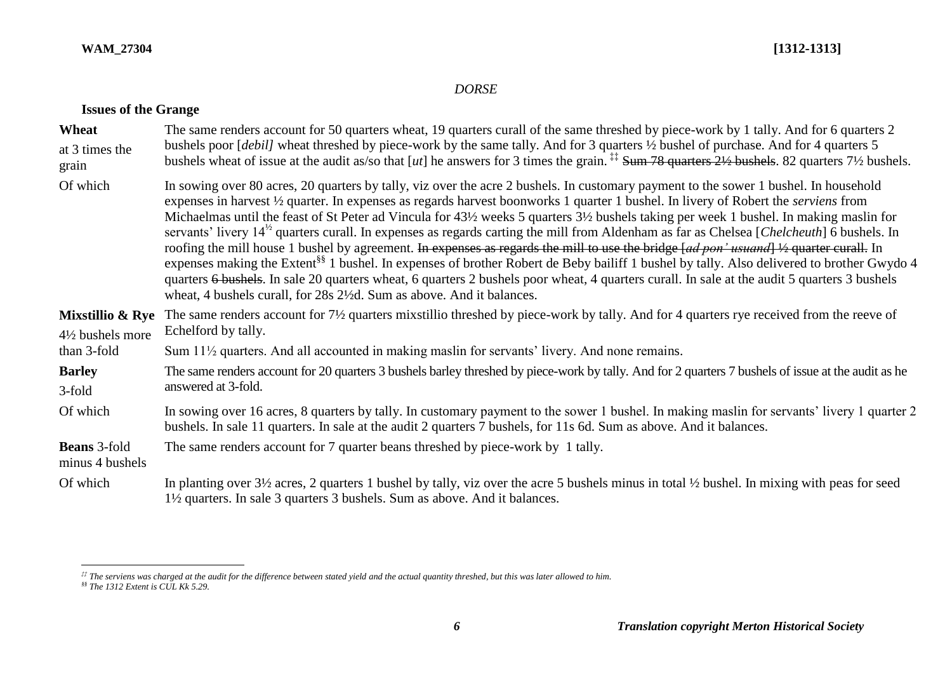### *DORSE*

# **Issues of the Grange**

| Wheat                       | The same renders account for 50 quarters wheat, 19 quarters curall of the same threshed by piece-work by 1 tally. And for 6 quarters 2                                                                                                                                                                                                                                                                                                                                                                                                                                                                                                                                                                                                                                                                                                                                                                                                                                                                                                                                                                                  |
|-----------------------------|-------------------------------------------------------------------------------------------------------------------------------------------------------------------------------------------------------------------------------------------------------------------------------------------------------------------------------------------------------------------------------------------------------------------------------------------------------------------------------------------------------------------------------------------------------------------------------------------------------------------------------------------------------------------------------------------------------------------------------------------------------------------------------------------------------------------------------------------------------------------------------------------------------------------------------------------------------------------------------------------------------------------------------------------------------------------------------------------------------------------------|
| at 3 times the<br>grain     | bushels poor [debil] wheat threshed by piece-work by the same tally. And for 3 quarters 1/2 bushel of purchase. And for 4 quarters 5<br>bushels wheat of issue at the audit as/so that [ut] he answers for 3 times the grain. <sup>‡‡</sup> Sum 78 quarters 2½ bushels. 82 quarters 7½ bushels.                                                                                                                                                                                                                                                                                                                                                                                                                                                                                                                                                                                                                                                                                                                                                                                                                         |
| Of which                    | In sowing over 80 acres, 20 quarters by tally, viz over the acre 2 bushels. In customary payment to the sower 1 bushel. In household<br>expenses in harvest 1/2 quarter. In expenses as regards harvest boonworks 1 quarter 1 bushel. In livery of Robert the <i>serviens</i> from<br>Michaelmas until the feast of St Peter ad Vincula for 43½ weeks 5 quarters 3½ bushels taking per week 1 bushel. In making maslin for<br>servants' livery 14 <sup>12</sup> quarters curall. In expenses as regards carting the mill from Aldenham as far as Chelsea [ <i>Chelcheuth</i> ] 6 bushels. In<br>roofing the mill house 1 bushel by agreement. In expenses as regards the mill to use the bridge [ad pon'usuand] 1/2 quarter curall. In<br>expenses making the Extent <sup>§§</sup> 1 bushel. In expenses of brother Robert de Beby bailiff 1 bushel by tally. Also delivered to brother Gwydo 4<br>quarters 6 bushels. In sale 20 quarters wheat, 6 quarters 2 bushels poor wheat, 4 quarters curall. In sale at the audit 5 quarters 3 bushels<br>wheat, 4 bushels curall, for 28s 2½d. Sum as above. And it balances. |
| <b>Mixstillio &amp; Rye</b> | The same renders account for 7½ quarters mixstillio threshed by piece-work by tally. And for 4 quarters rye received from the reeve of                                                                                                                                                                                                                                                                                                                                                                                                                                                                                                                                                                                                                                                                                                                                                                                                                                                                                                                                                                                  |
| 4½ bushels more             | Echelford by tally.                                                                                                                                                                                                                                                                                                                                                                                                                                                                                                                                                                                                                                                                                                                                                                                                                                                                                                                                                                                                                                                                                                     |
| than 3-fold                 | Sum 11 <sup>1</sup> / <sub>2</sub> quarters. And all accounted in making maslin for servants' livery. And none remains.                                                                                                                                                                                                                                                                                                                                                                                                                                                                                                                                                                                                                                                                                                                                                                                                                                                                                                                                                                                                 |

- **Barley**  3-fold The same renders account for 20 quarters 3 bushels barley threshed by piece-work by tally. And for 2 quarters 7 bushels of issue at the audit as he answered at 3-fold.
- Of which In sowing over 16 acres, 8 quarters by tally. In customary payment to the sower 1 bushel. In making maslin for servants' livery 1 quarter 2 bushels. In sale 11 quarters. In sale at the audit 2 quarters 7 bushels, for 11s 6d. Sum as above. And it balances.

**Beans** 3-fold The same renders account for 7 quarter beans threshed by piece-work by 1 tally.

minus 4 bushels

Of which In planting over  $3\frac{1}{2}$  acres, 2 quarters 1 bushel by tally, viz over the acre 5 bushels minus in total  $\frac{1}{2}$  bushel. In mixing with peas for seed 1½ quarters. In sale 3 quarters 3 bushels. Sum as above. And it balances.

 $\overline{a}$ *‡‡ The serviens was charged at the audit for the difference between stated yield and the actual quantity threshed, but this was later allowed to him.* 

*<sup>§§</sup> The 1312 Extent is CUL Kk 5.29.*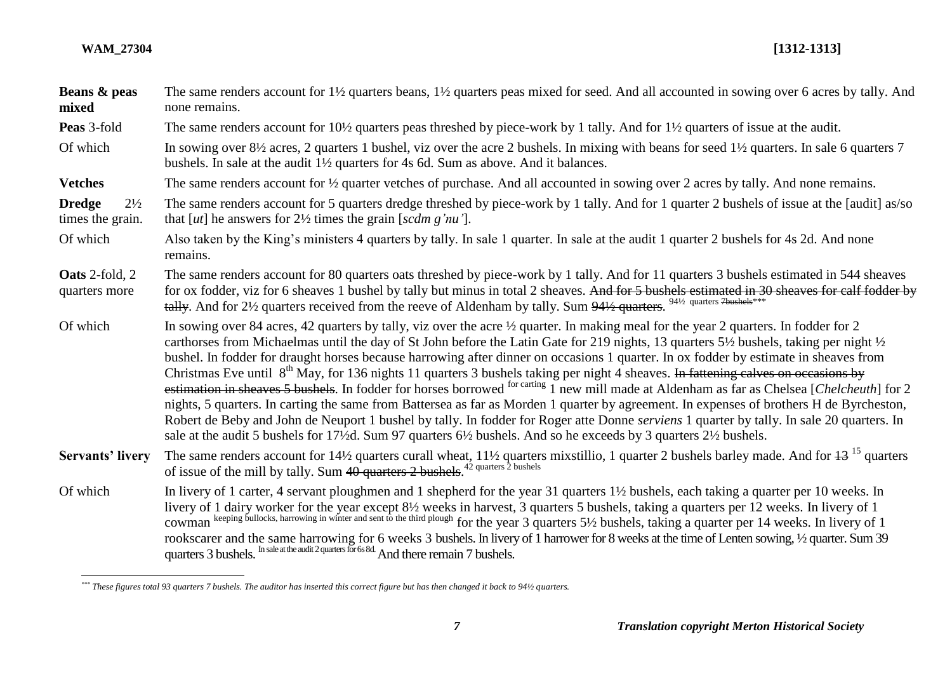$\overline{a}$ 

## **WAM\_27304 [1312-1313]**

| Beans & peas<br>mixed                               | The same renders account for 1½ quarters beans, 1½ quarters peas mixed for seed. And all accounted in sowing over 6 acres by tally. And<br>none remains.                                                                                                                                                                                                                                                                                                                                                                                                                                                                                                                                                                                                                                                                                                                                                                                                                                                                                                                                                                                                                     |
|-----------------------------------------------------|------------------------------------------------------------------------------------------------------------------------------------------------------------------------------------------------------------------------------------------------------------------------------------------------------------------------------------------------------------------------------------------------------------------------------------------------------------------------------------------------------------------------------------------------------------------------------------------------------------------------------------------------------------------------------------------------------------------------------------------------------------------------------------------------------------------------------------------------------------------------------------------------------------------------------------------------------------------------------------------------------------------------------------------------------------------------------------------------------------------------------------------------------------------------------|
| Peas 3-fold                                         | The same renders account for $10\frac{1}{2}$ quarters peas threshed by piece-work by 1 tally. And for $1\frac{1}{2}$ quarters of issue at the audit.                                                                                                                                                                                                                                                                                                                                                                                                                                                                                                                                                                                                                                                                                                                                                                                                                                                                                                                                                                                                                         |
| Of which                                            | In sowing over 8½ acres, 2 quarters 1 bushel, viz over the acre 2 bushels. In mixing with beans for seed 1½ quarters. In sale 6 quarters 7<br>bushels. In sale at the audit 1 <sup>1</sup> / <sub>2</sub> quarters for 4s 6d. Sum as above. And it balances.                                                                                                                                                                                                                                                                                                                                                                                                                                                                                                                                                                                                                                                                                                                                                                                                                                                                                                                 |
| <b>Vetches</b>                                      | The same renders account for $\frac{1}{2}$ quarter vetches of purchase. And all accounted in sowing over 2 acres by tally. And none remains.                                                                                                                                                                                                                                                                                                                                                                                                                                                                                                                                                                                                                                                                                                                                                                                                                                                                                                                                                                                                                                 |
| <b>Dredge</b><br>$2\frac{1}{2}$<br>times the grain. | The same renders account for 5 quarters dredge threshed by piece-work by 1 tally. And for 1 quarter 2 bushels of issue at the [audit] as/so<br>that [ut] he answers for $2\frac{1}{2}$ times the grain [scdm g'nu'].                                                                                                                                                                                                                                                                                                                                                                                                                                                                                                                                                                                                                                                                                                                                                                                                                                                                                                                                                         |
| Of which                                            | Also taken by the King's ministers 4 quarters by tally. In sale 1 quarter. In sale at the audit 1 quarter 2 bushels for 4s 2d. And none<br>remains.                                                                                                                                                                                                                                                                                                                                                                                                                                                                                                                                                                                                                                                                                                                                                                                                                                                                                                                                                                                                                          |
| <b>Oats</b> 2-fold, 2<br>quarters more              | The same renders account for 80 quarters oats threshed by piece-work by 1 tally. And for 11 quarters 3 bushels estimated in 544 sheaves<br>for ox fodder, viz for 6 sheaves 1 bushel by tally but minus in total 2 sheaves. And for 5 bushels estimated in 30 sheaves for calf fodder by<br>tally. And for 21/2 quarters received from the reeve of Aldenham by tally. Sum 941/2 quarters. <sup>941/2</sup> quarters 7bushels***                                                                                                                                                                                                                                                                                                                                                                                                                                                                                                                                                                                                                                                                                                                                             |
| Of which                                            | In sowing over 84 acres, 42 quarters by tally, viz over the acre 1/2 quarter. In making meal for the year 2 quarters. In fodder for 2<br>carthorses from Michaelmas until the day of St John before the Latin Gate for 219 nights, 13 quarters 5½ bushels, taking per night ½<br>bushel. In fodder for draught horses because harrowing after dinner on occasions 1 quarter. In ox fodder by estimate in sheaves from<br>Christmas Eve until 8 <sup>th</sup> May, for 136 nights 11 quarters 3 bushels taking per night 4 sheaves. In fattening calves on occasions by<br>estimation in sheaves 5 bushels. In fodder for horses borrowed <sup>for carting</sup> 1 new mill made at Aldenham as far as Chelsea [ <i>Chelcheuth</i> ] for 2<br>nights, 5 quarters. In carting the same from Battersea as far as Morden 1 quarter by agreement. In expenses of brothers H de Byrcheston,<br>Robert de Beby and John de Neuport 1 bushel by tally. In fodder for Roger atte Donne serviens 1 quarter by tally. In sale 20 quarters. In<br>sale at the audit 5 bushels for 17/2d. Sum 97 quarters $6\frac{1}{2}$ bushels. And so he exceeds by 3 quarters $2\frac{1}{2}$ bushels. |
| <b>Servants' livery</b>                             | The same renders account for $14\frac{1}{2}$ quarters curall wheat, $11\frac{1}{2}$ quarters mixstillio, 1 quarter 2 bushels barley made. And for $13^{15}$ quarters<br>of issue of the mill by tally. Sum $40$ quarters 2 bushels. <sup>42 quarters 2 bushels</sup>                                                                                                                                                                                                                                                                                                                                                                                                                                                                                                                                                                                                                                                                                                                                                                                                                                                                                                         |
| Of which                                            | In livery of 1 carter, 4 servant ploughmen and 1 shepherd for the year 31 quarters 1½ bushels, each taking a quarter per 10 weeks. In<br>livery of 1 dairy worker for the year except 8 <sup>1</sup> / <sub>2</sub> weeks in harvest, 3 quarters 5 bushels, taking a quarters per 12 weeks. In livery of 1 cowman keeping bullocks, harrowing in winter and sent to the third plough for the<br>rookscarer and the same harrowing for 6 weeks 3 bushels. In livery of 1 harrower for 8 weeks at the time of Lenten sowing, 1/2 quarter. Sum 39<br>quarters 3 bushels. In sale at the audit 2 quarters for 6s 8d. And there remain 7 bushels.                                                                                                                                                                                                                                                                                                                                                                                                                                                                                                                                 |

*<sup>\*\*\*</sup> These figures total 93 quarters 7 bushels. The auditor has inserted this correct figure but has then changed it back to 94½ quarters.*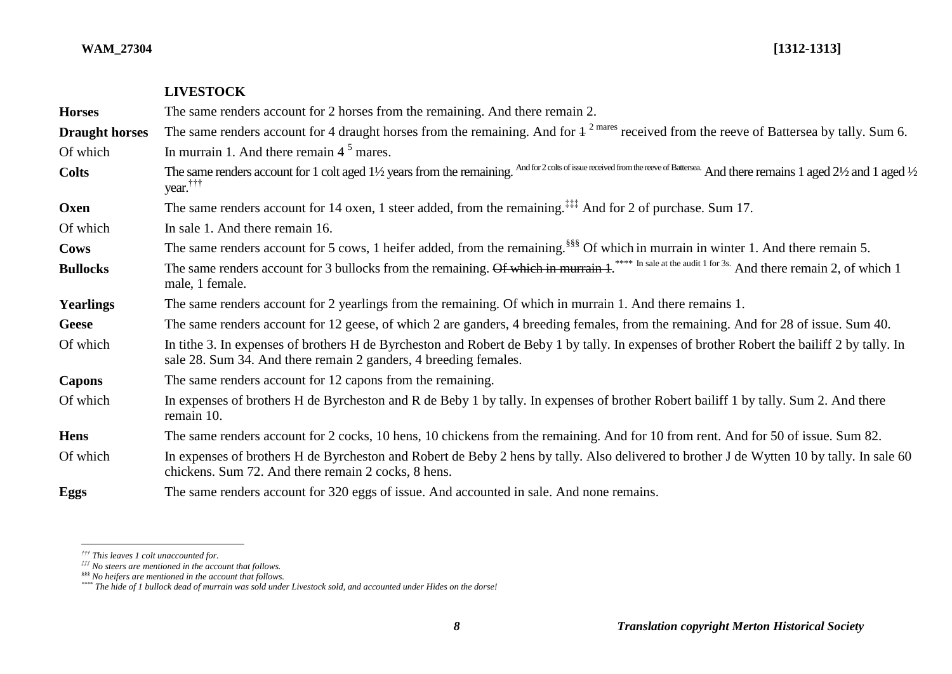# **LIVESTOCK**

| <b>Horses</b>         | The same renders account for 2 horses from the remaining. And there remain 2.                                                                                                                                                                     |
|-----------------------|---------------------------------------------------------------------------------------------------------------------------------------------------------------------------------------------------------------------------------------------------|
| <b>Draught horses</b> | The same renders account for 4 draught horses from the remaining. And for $4^{2}$ mares received from the reeve of Battersea by tally. Sum 6.                                                                                                     |
| Of which              | In murrain 1. And there remain $4^5$ mares.                                                                                                                                                                                                       |
| <b>Colts</b>          | The same renders account for 1 colt aged 1 <sup>1/2</sup> years from the remaining. And for 2 colts of issue received from the reeve of Battersea. And there remains 1 aged 2 <sup>1</sup> /2 and 1 aged <sup>1</sup> /2<br>year. <sup>††††</sup> |
| Oxen                  | The same renders account for 14 oxen, 1 steer added, from the remaining. <sup>‡‡‡</sup> And for 2 of purchase. Sum 17.                                                                                                                            |
| Of which              | In sale 1. And there remain 16.                                                                                                                                                                                                                   |
| <b>Cows</b>           | The same renders account for 5 cows, 1 heifer added, from the remaining. <sup>§§§</sup> Of which in murrain in winter 1. And there remain 5.                                                                                                      |
| <b>Bullocks</b>       | The same renders account for 3 bullocks from the remaining. Of which in murrain 1. <sup>****</sup> In sale at the audit 1 for 3s. And there remain 2, of which 1<br>male, 1 female.                                                               |
| <b>Yearlings</b>      | The same renders account for 2 yearlings from the remaining. Of which in murrain 1. And there remains 1.                                                                                                                                          |
| <b>Geese</b>          | The same renders account for 12 geese, of which 2 are ganders, 4 breeding females, from the remaining. And for 28 of issue. Sum 40.                                                                                                               |
| Of which              | In tithe 3. In expenses of brothers H de Byrcheston and Robert de Beby 1 by tally. In expenses of brother Robert the bailiff 2 by tally. In<br>sale 28. Sum 34. And there remain 2 ganders, 4 breeding females.                                   |
| <b>Capons</b>         | The same renders account for 12 capons from the remaining.                                                                                                                                                                                        |
| Of which              | In expenses of brothers H de Byrcheston and R de Beby 1 by tally. In expenses of brother Robert bailiff 1 by tally. Sum 2. And there<br>remain 10.                                                                                                |
| <b>Hens</b>           | The same renders account for 2 cocks, 10 hens, 10 chickens from the remaining. And for 10 from rent. And for 50 of issue. Sum 82.                                                                                                                 |
| Of which              | In expenses of brothers H de Byrcheston and Robert de Beby 2 hens by tally. Also delivered to brother J de Wytten 10 by tally. In sale 60<br>chickens. Sum 72. And there remain 2 cocks, 8 hens.                                                  |
| <b>Eggs</b>           | The same renders account for 320 eggs of issue. And accounted in sale. And none remains.                                                                                                                                                          |

*<sup>†††</sup> This leaves 1 colt unaccounted for.*

*<sup>‡‡‡</sup> No steers are mentioned in the account that follows.*

*<sup>§§§</sup> No heifers are mentioned in the account that follows.*

*<sup>\*\*\*\*</sup> The hide of 1 bullock dead of murrain was sold under Livestock sold, and accounted under Hides on the dorse!*